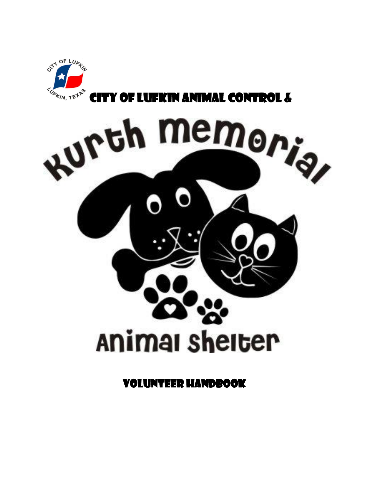

City of Lufkin Animal Control &



Volunteer Handbook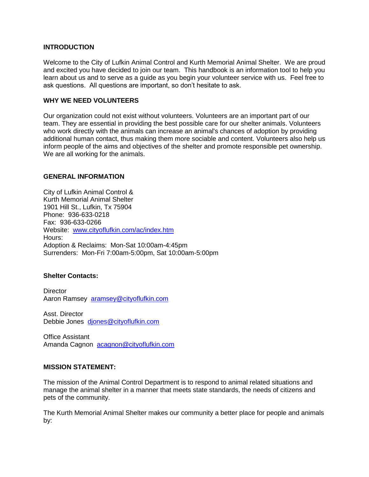# **INTRODUCTION**

Welcome to the City of Lufkin Animal Control and Kurth Memorial Animal Shelter. We are proud and excited you have decided to join our team. This handbook is an information tool to help you learn about us and to serve as a guide as you begin your volunteer service with us. Feel free to ask questions. All questions are important, so don't hesitate to ask.

## **WHY WE NEED VOLUNTEERS**

Our organization could not exist without volunteers. Volunteers are an important part of our team. They are essential in providing the best possible care for our shelter animals. Volunteers who work directly with the animals can increase an animal's chances of adoption by providing additional human contact, thus making them more sociable and content. Volunteers also help us inform people of the aims and objectives of the shelter and promote responsible pet ownership. We are all working for the animals.

# **GENERAL INFORMATION**

City of Lufkin Animal Control & Kurth Memorial Animal Shelter 1901 Hill St., Lufkin, Tx 75904 Phone: 936-633-0218 Fax: 936-633-0266 Website: [www.cityoflufkin.com/ac/index.htm](http://www.cityoflufkin.com/ac/index.htm) Hours: Adoption & Reclaims: Mon-Sat 10:00am-4:45pm Surrenders: Mon-Fri 7:00am-5:00pm, Sat 10:00am-5:00pm

## **Shelter Contacts:**

**Director** Aaron Ramsey [aramsey@cityoflufkin.com](mailto:aramsey@cityoflufkin.com)

Asst. Director Debbie Jones [djones@cityoflufkin.com](mailto:djones@cityoflufkin.com)

Office Assistant Amanda Cagnon [acagnon@cityoflufkin.com](mailto:acagnon@cityoflufkin.com)

## **MISSION STATEMENT:**

The mission of the Animal Control Department is to respond to animal related situations and manage the animal shelter in a manner that meets state standards, the needs of citizens and pets of the community.

The Kurth Memorial Animal Shelter makes our community a better place for people and animals by: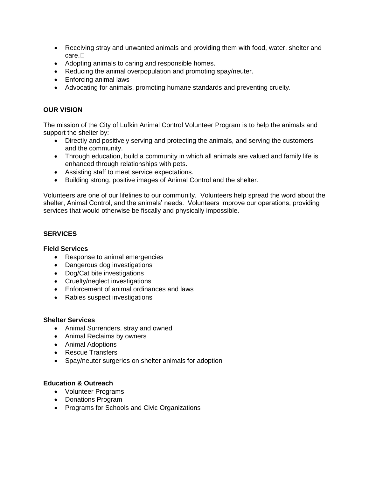- Receiving stray and unwanted animals and providing them with food, water, shelter and care.<sup>[]</sup>
- Adopting animals to caring and responsible homes.
- Reducing the animal overpopulation and promoting spay/neuter.
- Enforcing animal laws
- Advocating for animals, promoting humane standards and preventing cruelty.

# **OUR VISION**

The mission of the City of Lufkin Animal Control Volunteer Program is to help the animals and support the shelter by:

- Directly and positively serving and protecting the animals, and serving the customers and the community.
- Through education, build a community in which all animals are valued and family life is enhanced through relationships with pets.
- Assisting staff to meet service expectations.
- Building strong, positive images of Animal Control and the shelter.

Volunteers are one of our lifelines to our community. Volunteers help spread the word about the shelter, Animal Control, and the animals' needs. Volunteers improve our operations, providing services that would otherwise be fiscally and physically impossible.

# **SERVICES**

## **Field Services**

- Response to animal emergencies
- Dangerous dog investigations
- Dog/Cat bite investigations
- Cruelty/neglect investigations
- Enforcement of animal ordinances and laws
- Rabies suspect investigations

## **Shelter Services**

- Animal Surrenders, stray and owned
- Animal Reclaims by owners
- Animal Adoptions
- Rescue Transfers
- Spay/neuter surgeries on shelter animals for adoption

## **Education & Outreach**

- Volunteer Programs
- Donations Program
- Programs for Schools and Civic Organizations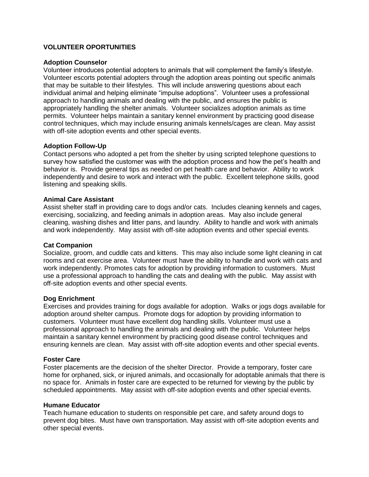# **VOLUNTEER OPORTUNITIES**

#### **Adoption Counselor**

Volunteer introduces potential adopters to animals that will complement the family's lifestyle. Volunteer escorts potential adopters through the adoption areas pointing out specific animals that may be suitable to their lifestyles. This will include answering questions about each individual animal and helping eliminate "impulse adoptions". Volunteer uses a professional approach to handling animals and dealing with the public, and ensures the public is appropriately handling the shelter animals. Volunteer socializes adoption animals as time permits. Volunteer helps maintain a sanitary kennel environment by practicing good disease control techniques, which may include ensuring animals kennels/cages are clean. May assist with off-site adoption events and other special events.

## **Adoption Follow-Up**

Contact persons who adopted a pet from the shelter by using scripted telephone questions to survey how satisfied the customer was with the adoption process and how the pet's health and behavior is. Provide general tips as needed on pet health care and behavior. Ability to work independently and desire to work and interact with the public. Excellent telephone skills, good listening and speaking skills.

## **Animal Care Assistant**

Assist shelter staff in providing care to dogs and/or cats. Includes cleaning kennels and cages, exercising, socializing, and feeding animals in adoption areas. May also include general cleaning, washing dishes and litter pans, and laundry. Ability to handle and work with animals and work independently. May assist with off-site adoption events and other special events.

## **Cat Companion**

Socialize, groom, and cuddle cats and kittens. This may also include some light cleaning in cat rooms and cat exercise area. Volunteer must have the ability to handle and work with cats and work independently. Promotes cats for adoption by providing information to customers. Must use a professional approach to handling the cats and dealing with the public. May assist with off-site adoption events and other special events.

## **Dog Enrichment**

Exercises and provides training for dogs available for adoption. Walks or jogs dogs available for adoption around shelter campus. Promote dogs for adoption by providing information to customers. Volunteer must have excellent dog handling skills. Volunteer must use a professional approach to handling the animals and dealing with the public. Volunteer helps maintain a sanitary kennel environment by practicing good disease control techniques and ensuring kennels are clean. May assist with off-site adoption events and other special events.

#### **Foster Care**

Foster placements are the decision of the shelter Director. Provide a temporary, foster care home for orphaned, sick, or injured animals, and occasionally for adoptable animals that there is no space for. Animals in foster care are expected to be returned for viewing by the public by scheduled appointments. May assist with off-site adoption events and other special events.

## **Humane Educator**

Teach humane education to students on responsible pet care, and safety around dogs to prevent dog bites. Must have own transportation. May assist with off-site adoption events and other special events.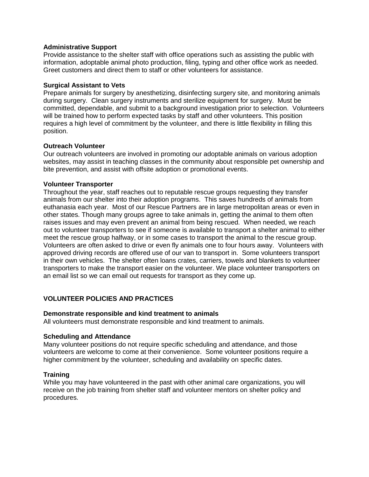## **Administrative Support**

Provide assistance to the shelter staff with office operations such as assisting the public with information, adoptable animal photo production, filing, typing and other office work as needed. Greet customers and direct them to staff or other volunteers for assistance.

## **Surgical Assistant to Vets**

Prepare animals for surgery by anesthetizing, disinfecting surgery site, and monitoring animals during surgery.Clean surgery instruments and sterilize equipment for surgery. Must be committed, dependable, and submit to a background investigation prior to selection. Volunteers will be trained how to perform expected tasks by staff and other volunteers. This position requires a high level of commitment by the volunteer, and there is little flexibility in filling this position.

## **Outreach Volunteer**

Our outreach volunteers are involved in promoting our adoptable animals on various adoption websites, may assist in teaching classes in the community about responsible pet ownership and bite prevention, and assist with offsite adoption or promotional events.

## **Volunteer Transporter**

Throughout the year, staff reaches out to reputable rescue groups requesting they transfer animals from our shelter into their adoption programs. This saves hundreds of animals from euthanasia each year. Most of our Rescue Partners are in large metropolitan areas or even in other states. Though many groups agree to take animals in, getting the animal to them often raises issues and may even prevent an animal from being rescued. When needed, we reach out to volunteer transporters to see if someone is available to transport a shelter animal to either meet the rescue group halfway, or in some cases to transport the animal to the rescue group. Volunteers are often asked to drive or even fly animals one to four hours away. Volunteers with approved driving records are offered use of our van to transport in. Some volunteers transport in their own vehicles. The shelter often loans crates, carriers, towels and blankets to volunteer transporters to make the transport easier on the volunteer. We place volunteer transporters on an email list so we can email out requests for transport as they come up.

# **VOLUNTEER POLICIES AND PRACTICES**

## **Demonstrate responsible and kind treatment to animals**

All volunteers must demonstrate responsible and kind treatment to animals.

## **Scheduling and Attendance**

Many volunteer positions do not require specific scheduling and attendance, and those volunteers are welcome to come at their convenience. Some volunteer positions require a higher commitment by the volunteer, scheduling and availability on specific dates.

# **Training**

While you may have volunteered in the past with other animal care organizations, you will receive on the job training from shelter staff and volunteer mentors on shelter policy and procedures.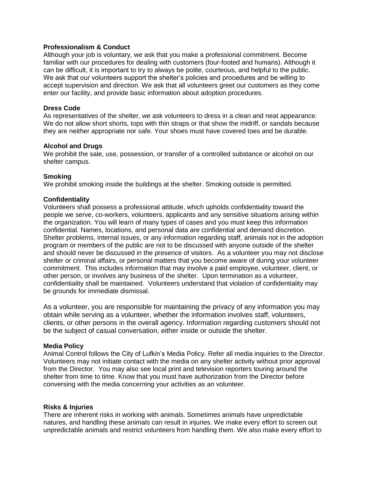# **Professionalism & Conduct**

Although your job is voluntary, we ask that you make a professional commitment. Become familiar with our procedures for dealing with customers (four-footed and humans). Although it can be difficult, it is important to try to always be polite, courteous, and helpful to the public. We ask that our volunteers support the shelter's policies and procedures and be willing to accept supervision and direction. We ask that all volunteers greet our customers as they come enter our facility, and provide basic information about adoption procedures.

## **Dress Code**

As representatives of the shelter, we ask volunteers to dress in a clean and neat appearance. We do not allow short shorts, tops with thin straps or that show the midriff, or sandals because they are neither appropriate nor safe. Your shoes must have covered toes and be durable.

## **Alcohol and Drugs**

We prohibit the sale, use, possession, or transfer of a controlled substance or alcohol on our shelter campus.

## **Smoking**

We prohibit smoking inside the buildings at the shelter. Smoking outside is permitted.

## **Confidentiality**

Volunteers shall possess a professional attitude, which upholds confidentiality toward the people we serve, co-workers, volunteers, applicants and any sensitive situations arising within the organization. You will learn of many types of cases and you must keep this information confidential. Names, locations, and personal data are confidential and demand discretion. Shelter problems, internal issues, or any information regarding staff, animals not in the adoption program or members of the public are not to be discussed with anyone outside of the shelter and should never be discussed in the presence of visitors. As a volunteer you may not disclose shelter or criminal affairs, or personal matters that you become aware of during your volunteer commitment. This includes information that may involve a paid employee, volunteer, client, or other person, or involves any business of the shelter. Upon termination as a volunteer, confidentiality shall be maintained. Volunteers understand that violation of confidentiality may be grounds for immediate dismissal.

As a volunteer, you are responsible for maintaining the privacy of any information you may obtain while serving as a volunteer, whether the information involves staff, volunteers, clients, or other persons in the overall agency. Information regarding customers should not be the subject of casual conversation, either inside or outside the shelter.

## **Media Policy**

Animal Control follows the City of Lufkin's Media Policy. Refer all media inquiries to the Director. Volunteers may not initiate contact with the media on any shelter activity without prior approval from the Director. You may also see local print and television reporters touring around the shelter from time to time. Know that you must have authorization from the Director before conversing with the media concerning your activities as an volunteer.

## **Risks & Injuries**

There are inherent risks in working with animals. Sometimes animals have unpredictable natures, and handling these animals can result in injuries. We make every effort to screen out unpredictable animals and restrict volunteers from handling them. We also make every effort to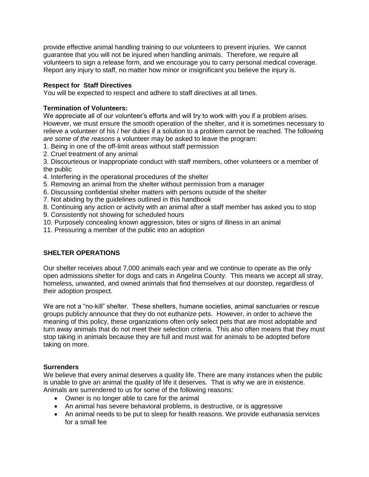provide effective animal handling training to our volunteers to prevent injuries. We cannot guarantee that you will not be injured when handling animals. Therefore, we require all volunteers to sign a release form, and we encourage you to carry personal medical coverage. Report any injury to staff, no matter how minor or insignificant you believe the injury is.

# **Respect for Staff Directives**

You will be expected to respect and adhere to staff directives at all times.

# **Termination of Volunteers:**

We appreciate all of our volunteer's efforts and will try to work with you if a problem arises. However, we must ensure the smooth operation of the shelter, and it is sometimes necessary to relieve a volunteer of his / her duties if a solution to a problem cannot be reached. The following *are some of the reasons* a volunteer may be asked to leave the program:

- 1. Being in one of the off-limit areas without staff permission
- 2. Cruel treatment of any animal

3. Discourteous or inappropriate conduct with staff members, other volunteers or a member of the public

- 4. Interfering in the operational procedures of the shelter
- 5. Removing an animal from the shelter without permission from a manager
- 6. Discussing confidential shelter matters with persons outside of the shelter
- 7. Not abiding by the guidelines outlined in this handbook
- 8. Continuing any action or activity with an animal after a staff member has asked you to stop
- 9. Consistently not showing for scheduled hours
- 10. Purposely concealing known aggression, bites or signs of illness in an animal
- 11. Pressuring a member of the public into an adoption

# **SHELTER OPERATIONS**

Our shelter receives about 7,000 animals each year and we continue to operate as the only open admissions shelter for dogs and cats in Angelina County. This means we accept all stray, homeless, unwanted, and owned animals that find themselves at our doorstep, regardless of their adoption prospect.

We are not a "no-kill" shelter. These shelters, humane societies, animal sanctuaries or rescue groups publicly announce that they do not euthanize pets. However, in order to achieve the meaning of this policy, these organizations often only select pets that are most adoptable and turn away animals that do not meet their selection criteria. This also often means that they must stop taking in animals because they are full and must wait for animals to be adopted before taking on more.

## **Surrenders**

We believe that every animal deserves a quality life. There are many instances when the public is unable to give an animal the quality of life it deserves. That is why we are in existence. Animals are surrendered to us for some of the following reasons:

- Owner is no longer able to care for the animal
- An animal has severe behavioral problems, is destructive, or is aggressive
- An animal needs to be put to sleep for health reasons. We provide euthanasia services for a small fee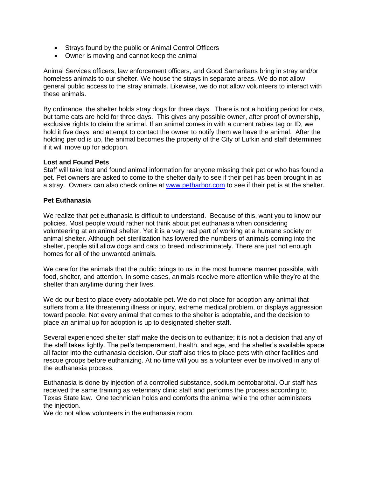- Strays found by the public or Animal Control Officers
- Owner is moving and cannot keep the animal

Animal Services officers, law enforcement officers, and Good Samaritans bring in stray and/or homeless animals to our shelter. We house the strays in separate areas. We do not allow general public access to the stray animals. Likewise, we do not allow volunteers to interact with these animals.

By ordinance, the shelter holds stray dogs for three days. There is not a holding period for cats, but tame cats are held for three days. This gives any possible owner, after proof of ownership, exclusive rights to claim the animal. If an animal comes in with a current rabies tag or ID, we hold it five days, and attempt to contact the owner to notify them we have the animal. After the holding period is up, the animal becomes the property of the City of Lufkin and staff determines if it will move up for adoption.

## **Lost and Found Pets**

Staff will take lost and found animal information for anyone missing their pet or who has found a pet. Pet owners are asked to come to the shelter daily to see if their pet has been brought in as a stray. Owners can also check online at [www.petharbor.com](http://www.petharbor.com/) to see if their pet is at the shelter.

## **Pet Euthanasia**

We realize that pet euthanasia is difficult to understand. Because of this, want you to know our policies. Most people would rather not think about pet euthanasia when considering volunteering at an animal shelter. Yet it is a very real part of working at a humane society or animal shelter. Although pet sterilization has lowered the numbers of animals coming into the shelter, people still allow dogs and cats to breed indiscriminately. There are just not enough homes for all of the unwanted animals.

We care for the animals that the public brings to us in the most humane manner possible, with food, shelter, and attention. In some cases, animals receive more attention while they're at the shelter than anytime during their lives.

We do our best to place every adoptable pet. We do not place for adoption any animal that suffers from a life threatening illness or injury, extreme medical problem, or displays aggression toward people. Not every animal that comes to the shelter is adoptable, and the decision to place an animal up for adoption is up to designated shelter staff.

Several experienced shelter staff make the decision to euthanize; it is not a decision that any of the staff takes lightly. The pet's temperament, health, and age, and the shelter's available space all factor into the euthanasia decision. Our staff also tries to place pets with other facilities and rescue groups before euthanizing. At no time will you as a volunteer ever be involved in any of the euthanasia process.

Euthanasia is done by injection of a controlled substance, sodium pentobarbital. Our staff has received the same training as veterinary clinic staff and performs the process according to Texas State law. One technician holds and comforts the animal while the other administers the injection.

We do not allow volunteers in the euthanasia room.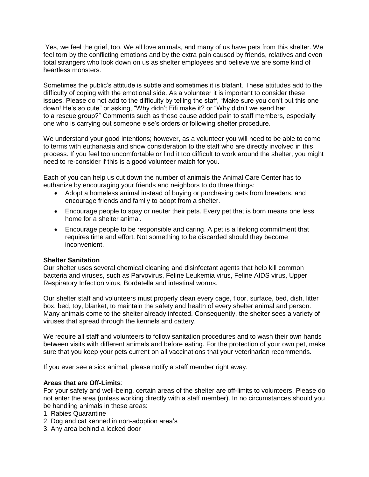Yes, we feel the grief, too. We all love animals, and many of us have pets from this shelter. We feel torn by the conflicting emotions and by the extra pain caused by friends, relatives and even total strangers who look down on us as shelter employees and believe we are some kind of heartless monsters.

Sometimes the public's attitude is subtle and sometimes it is blatant. These attitudes add to the difficulty of coping with the emotional side. As a volunteer it is important to consider these issues. Please do not add to the difficulty by telling the staff, "Make sure you don't put this one down! He's so cute" or asking, "Why didn't Fifi make it? or "Why didn't we send her to a rescue group?" Comments such as these cause added pain to staff members, especially one who is carrying out someone else's orders or following shelter procedure.

We understand your good intentions; however, as a volunteer you will need to be able to come to terms with euthanasia and show consideration to the staff who are directly involved in this process. If you feel too uncomfortable or find it too difficult to work around the shelter, you might need to re-consider if this is a good volunteer match for you.

Each of you can help us cut down the number of animals the Animal Care Center has to euthanize by encouraging your friends and neighbors to do three things:

- Adopt a homeless animal instead of buying or purchasing pets from breeders, and encourage friends and family to adopt from a shelter.
- Encourage people to spay or neuter their pets. Every pet that is born means one less home for a shelter animal.
- Encourage people to be responsible and caring. A pet is a lifelong commitment that requires time and effort. Not something to be discarded should they become inconvenient.

# **Shelter Sanitation**

Our shelter uses several chemical cleaning and disinfectant agents that help kill common bacteria and viruses, such as Parvovirus, Feline Leukemia virus, Feline AIDS virus, Upper Respiratory Infection virus, Bordatella and intestinal worms.

Our shelter staff and volunteers must properly clean every cage, floor, surface, bed, dish, litter box, bed, toy, blanket, to maintain the safety and health of every shelter animal and person. Many animals come to the shelter already infected. Consequently, the shelter sees a variety of viruses that spread through the kennels and cattery.

We require all staff and volunteers to follow sanitation procedures and to wash their own hands between visits with different animals and before eating. For the protection of your own pet, make sure that you keep your pets current on all vaccinations that your veterinarian recommends.

If you ever see a sick animal, please notify a staff member right away.

## **Areas that are Off-Limits**:

For your safety and well-being, certain areas of the shelter are off-limits to volunteers. Please do not enter the area (unless working directly with a staff member). In no circumstances should you be handling animals in these areas:

1. Rabies Quarantine

- 2. Dog and cat kenned in non-adoption area's
- 3. Any area behind a locked door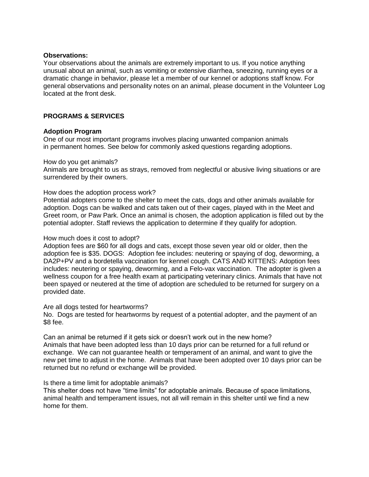#### **Observations:**

Your observations about the animals are extremely important to us. If you notice anything unusual about an animal, such as vomiting or extensive diarrhea, sneezing, running eyes or a dramatic change in behavior, please let a member of our kennel or adoptions staff know. For general observations and personality notes on an animal, please document in the Volunteer Log located at the front desk.

# **PROGRAMS & SERVICES**

## **Adoption Program**

One of our most important programs involves placing unwanted companion animals in permanent homes. See below for commonly asked questions regarding adoptions.

#### How do you get animals?

Animals are brought to us as strays, removed from neglectful or abusive living situations or are surrendered by their owners.

#### How does the adoption process work?

Potential adopters come to the shelter to meet the cats, dogs and other animals available for adoption. Dogs can be walked and cats taken out of their cages, played with in the Meet and Greet room, or Paw Park. Once an animal is chosen, the adoption application is filled out by the potential adopter. Staff reviews the application to determine if they qualify for adoption.

#### How much does it cost to adopt?

Adoption fees are \$60 for all dogs and cats, except those seven year old or older, then the adoption fee is \$35. DOGS: Adoption fee includes: neutering or spaying of dog, deworming, a DA2P+PV and a bordetella vaccination for kennel cough. CATS AND KITTENS: Adoption fees includes: neutering or spaying, deworming, and a Felo-vax vaccination. The adopter is given a wellness coupon for a free health exam at participating veterinary clinics. Animals that have not been spayed or neutered at the time of adoption are scheduled to be returned for surgery on a provided date.

#### Are all dogs tested for heartworms?

No. Dogs are tested for heartworms by request of a potential adopter, and the payment of an \$8 fee.

Can an animal be returned if it gets sick or doesn't work out in the new home? Animals that have been adopted less than 10 days prior can be returned for a full refund or exchange. We can not guarantee health or temperament of an animal, and want to give the new pet time to adjust in the home. Animals that have been adopted over 10 days prior can be returned but no refund or exchange will be provided.

#### Is there a time limit for adoptable animals?

This shelter does not have "time limits" for adoptable animals. Because of space limitations, animal health and temperament issues, not all will remain in this shelter until we find a new home for them.